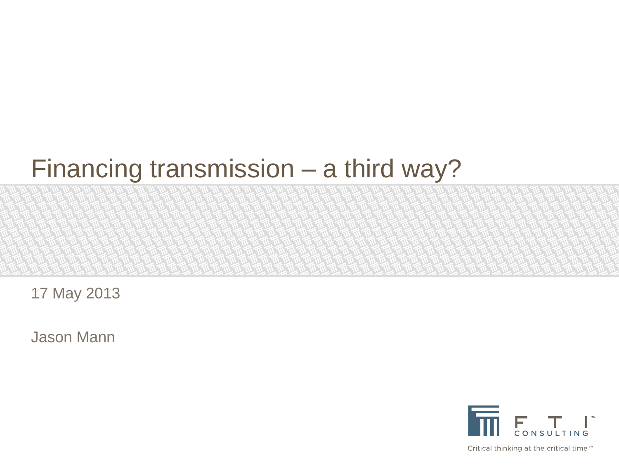# Financing transmission – a third way?

17 May 2013

Jason Mann



Critical thinking at the critical time™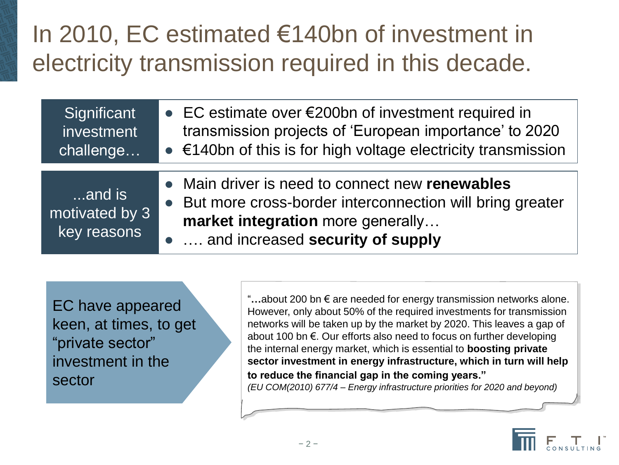## In 2010, EC estimated €140bn of investment in electricity transmission required in this decade.

| and is<br>motivated by 3<br>key reasons | • Main driver is need to connect new renewables<br>• But more cross-border interconnection will bring greater<br>market integration more generally<br>•  and increased security of supply |
|-----------------------------------------|-------------------------------------------------------------------------------------------------------------------------------------------------------------------------------------------|
| Significant                             | • EC estimate over $\epsilon$ 200bn of investment required in                                                                                                                             |
| investment                              | transmission projects of 'European importance' to 2020                                                                                                                                    |
| challenge                               | $\bullet$ $\epsilon$ 140bn of this is for high voltage electricity transmission                                                                                                           |

EC have appeared keen, at times, to get "private sector" investment in the sector

"**…**about 200 bn € are needed for energy transmission networks alone. However, only about 50% of the required investments for transmission networks will be taken up by the market by 2020. This leaves a gap of about 100 bn €. Our efforts also need to focus on further developing the internal energy market, which is essential to **boosting private sector investment in energy infrastructure, which in turn will help to reduce the financial gap in the coming years."** *(EU COM(2010) 677/4 – Energy infrastructure priorities for 2020 and beyond)*

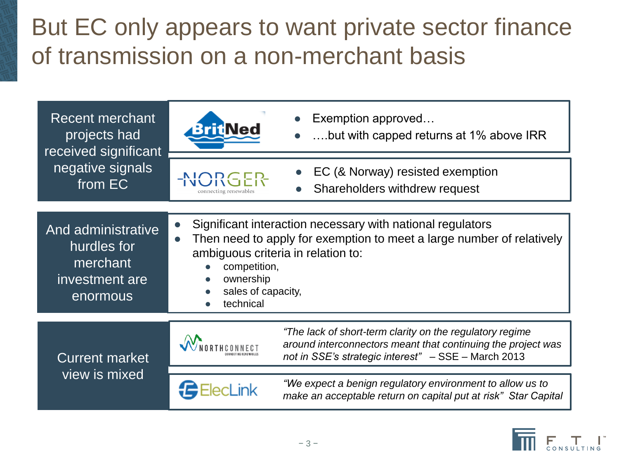## But EC only appears to want private sector finance of transmission on a non-merchant basis



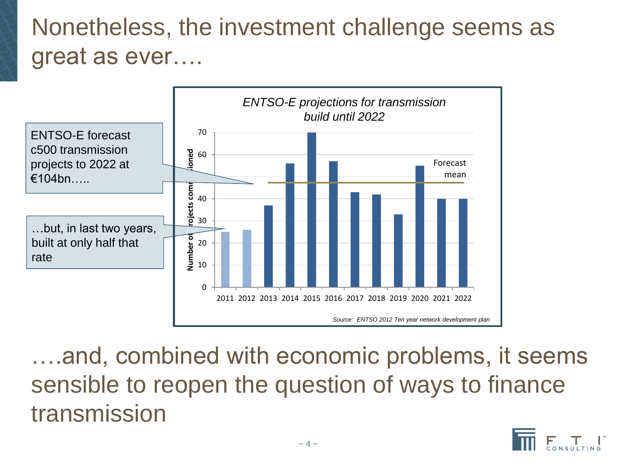#### Nonetheless, the investment challenge seems as great as ever….



….and, combined with economic problems, it seems sensible to reopen the question of ways to finance transmission

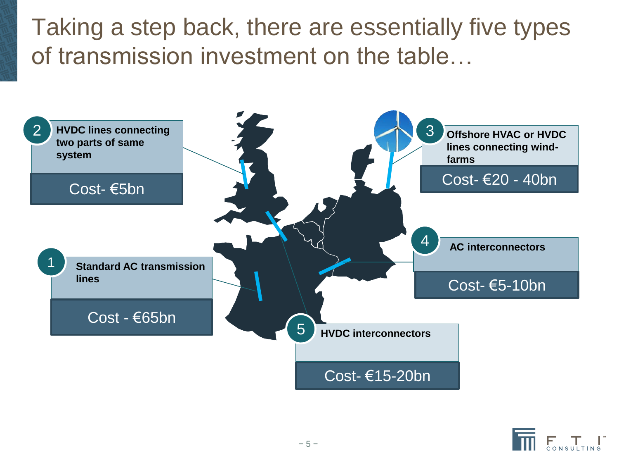Taking a step back, there are essentially five types of transmission investment on the table…



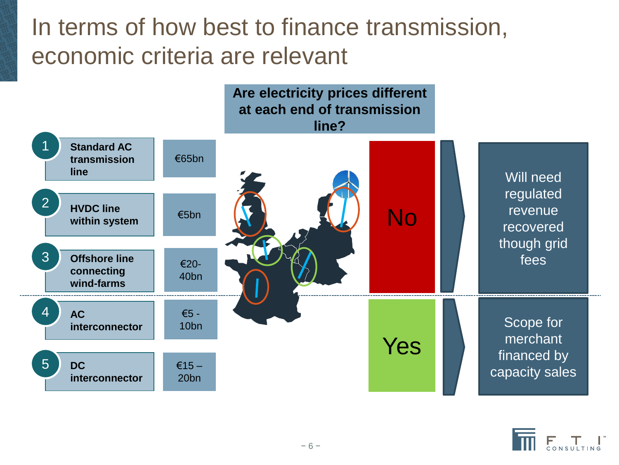#### In terms of how best to finance transmission, economic criteria are relevant



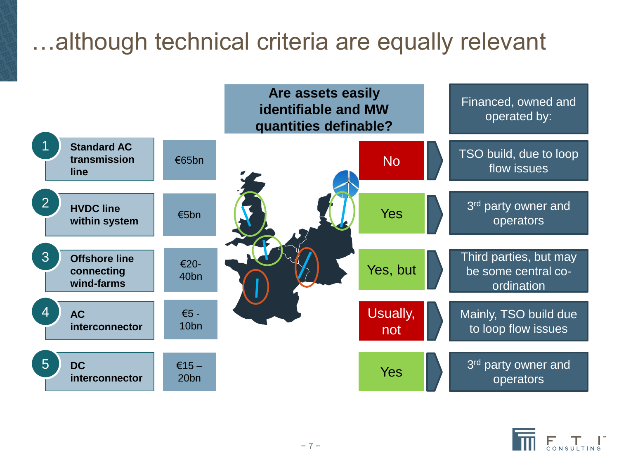#### …although technical criteria are equally relevant



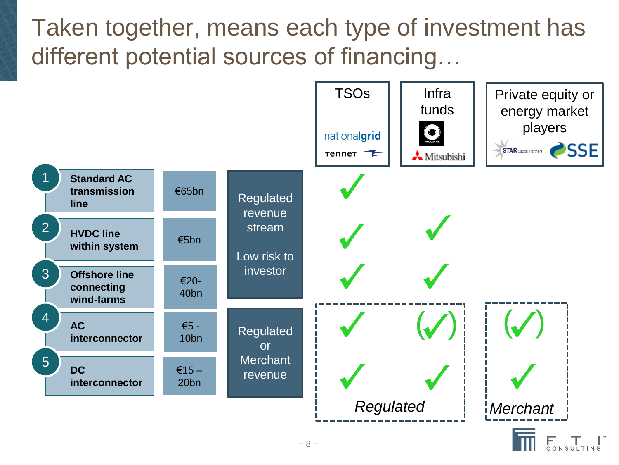#### Taken together, means each type of investment has different potential sources of financing…



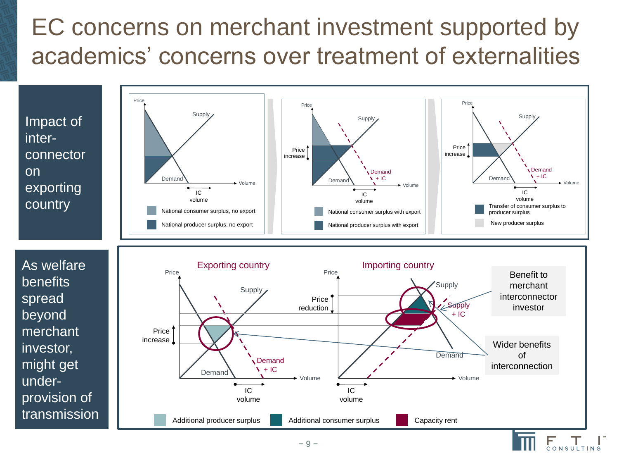## EC concerns on merchant investment supported by academics' concerns over treatment of externalities

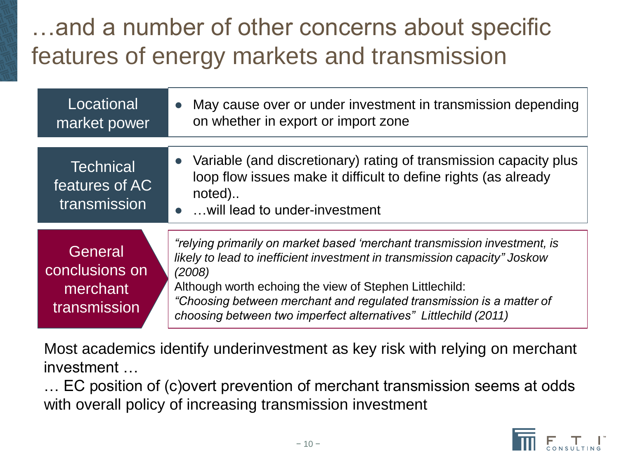## …and a number of other concerns about specific features of energy markets and transmission

| Locational<br>market power                            | May cause over or under investment in transmission depending<br>on whether in export or import zone                                                                                                                                                                                                                                                                   |
|-------------------------------------------------------|-----------------------------------------------------------------------------------------------------------------------------------------------------------------------------------------------------------------------------------------------------------------------------------------------------------------------------------------------------------------------|
| <b>Technical</b><br>features of AC<br>transmission    | • Variable (and discretionary) rating of transmission capacity plus<br>loop flow issues make it difficult to define rights (as already<br>noted)<br>•  will lead to under-investment                                                                                                                                                                                  |
| General<br>conclusions on<br>merchant<br>transmission | "relying primarily on market based 'merchant transmission investment, is<br>likely to lead to inefficient investment in transmission capacity" Joskow<br>(2008)<br>Although worth echoing the view of Stephen Littlechild:<br>"Choosing between merchant and regulated transmission is a matter of<br>choosing between two imperfect alternatives" Littlechild (2011) |

Most academics identify underinvestment as key risk with relying on merchant investment …

… EC position of (c)overt prevention of merchant transmission seems at odds with overall policy of increasing transmission investment

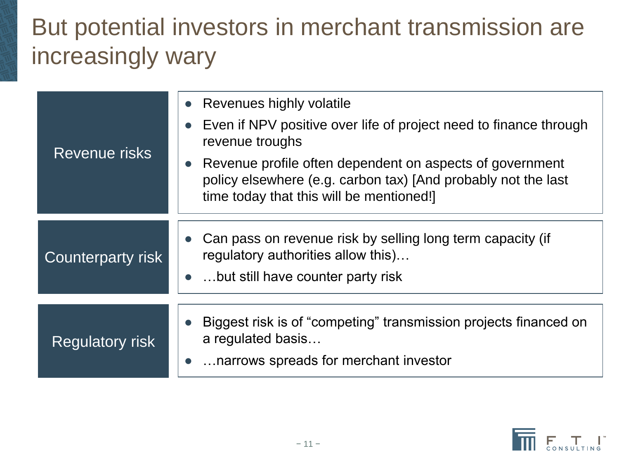#### But potential investors in merchant transmission are increasingly wary

| Revenue risks          | • Revenues highly volatile<br>Even if NPV positive over life of project need to finance through<br>revenue troughs                                                    |
|------------------------|-----------------------------------------------------------------------------------------------------------------------------------------------------------------------|
|                        | Revenue profile often dependent on aspects of government<br>policy elsewhere (e.g. carbon tax) [And probably not the last<br>time today that this will be mentioned!] |
| Counterparty risk      | Can pass on revenue risk by selling long term capacity (if<br>regulatory authorities allow this)<br>• but still have counter party risk                               |
|                        |                                                                                                                                                                       |
| <b>Regulatory risk</b> | Biggest risk is of "competing" transmission projects financed on<br>a regulated basis<br>narrows spreads for merchant investor                                        |
|                        |                                                                                                                                                                       |

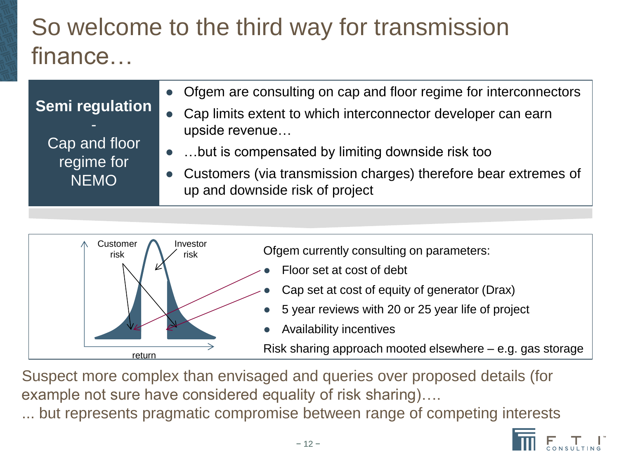## So welcome to the third way for transmission finance…

| Semi regulation<br>Cap and floor<br>regime for<br><b>NEMO</b> | • Ofgem are consulting on cap and floor regime for interconnectors                                   |
|---------------------------------------------------------------|------------------------------------------------------------------------------------------------------|
|                                                               | • Cap limits extent to which interconnector developer can earn<br>upside revenue                     |
|                                                               | • but is compensated by limiting downside risk too                                                   |
|                                                               | • Customers (via transmission charges) therefore bear extremes of<br>up and downside risk of project |



Suspect more complex than envisaged and queries over proposed details (for example not sure have considered equality of risk sharing)….

... but represents pragmatic compromise between range of competing interests

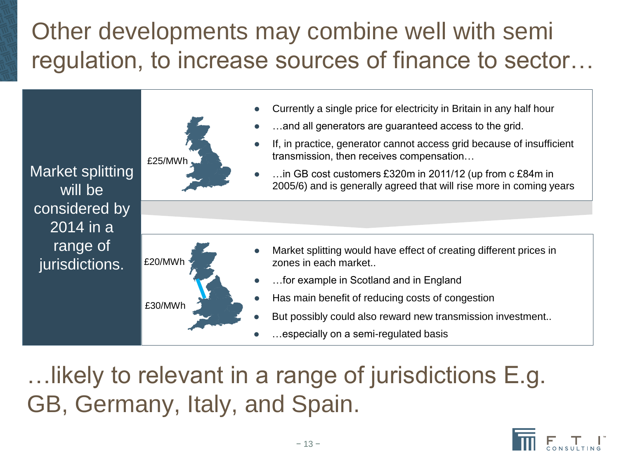## Other developments may combine well with semi regulation, to increase sources of finance to sector…



…likely to relevant in a range of jurisdictions E.g. GB, Germany, Italy, and Spain.

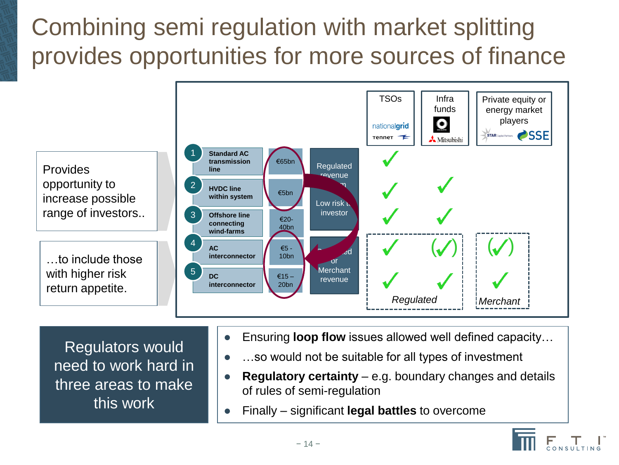# Combining semi regulation with market splitting provides opportunities for more sources of finance



- need to work hard in three areas to make this work
- ...so would not be suitable for all types of investment
- **Regulatory certainty**  e.g. boundary changes and details of rules of semi-regulation
- Finally significant **legal battles** to overcome